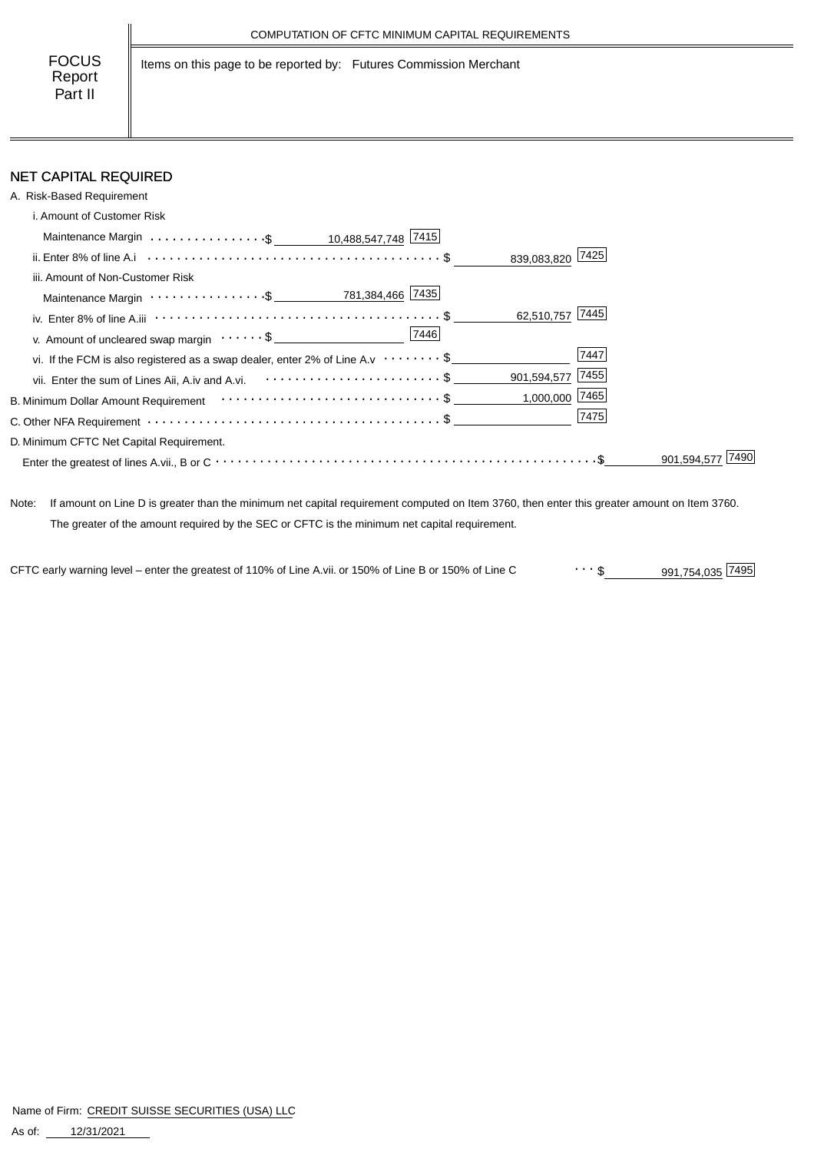Items on this page to be reported by: Futures Commission Merchant

### NET CAPITAL REQUIRED

| A. Risk-Based Requirement                                                                                          |                  |           |
|--------------------------------------------------------------------------------------------------------------------|------------------|-----------|
| i. Amount of Customer Risk                                                                                         |                  |           |
| Maintenance Margin \$ _ 10,488,547,748 7415                                                                        |                  |           |
|                                                                                                                    | 839,083,820 7425 |           |
| iii. Amount of Non-Customer Risk                                                                                   |                  |           |
|                                                                                                                    |                  |           |
| iv. Enter 8% of line A.iii $\cdots \cdots \cdots \cdots \cdots \cdots \cdots \cdots \cdots \cdots \cdots \cdots \$ | 62,510,757 7445  |           |
| 7446<br>v. Amount of uncleared swap margin $\dots \dots \$                                                         |                  |           |
| vi. If the FCM is also registered as a swap dealer, enter 2% of Line A.v $\cdots \cdots$ \$                        | 7447             |           |
| vii. Enter the sum of Lines Aii, A.iv and A.vi. \$                                                                 | 901,594,577 7455 |           |
|                                                                                                                    | $1,000,000$ 7465 |           |
|                                                                                                                    | 7475             |           |
| D. Minimum CFTC Net Capital Requirement.                                                                           |                  |           |
|                                                                                                                    |                  | 901.594.5 |

Note: If amount on Line D is greater than the minimum net capital requirement computed on Item 3760, then enter this greater amount on Item 3760. The greater of the amount required by the SEC or CFTC is the minimum net capital requirement.

CFTC early warning level – enter the greatest of 110% of Line A.vii. or 150% of Line B or 150% of Line C  $\cdots$  \$ 991,754,035 7495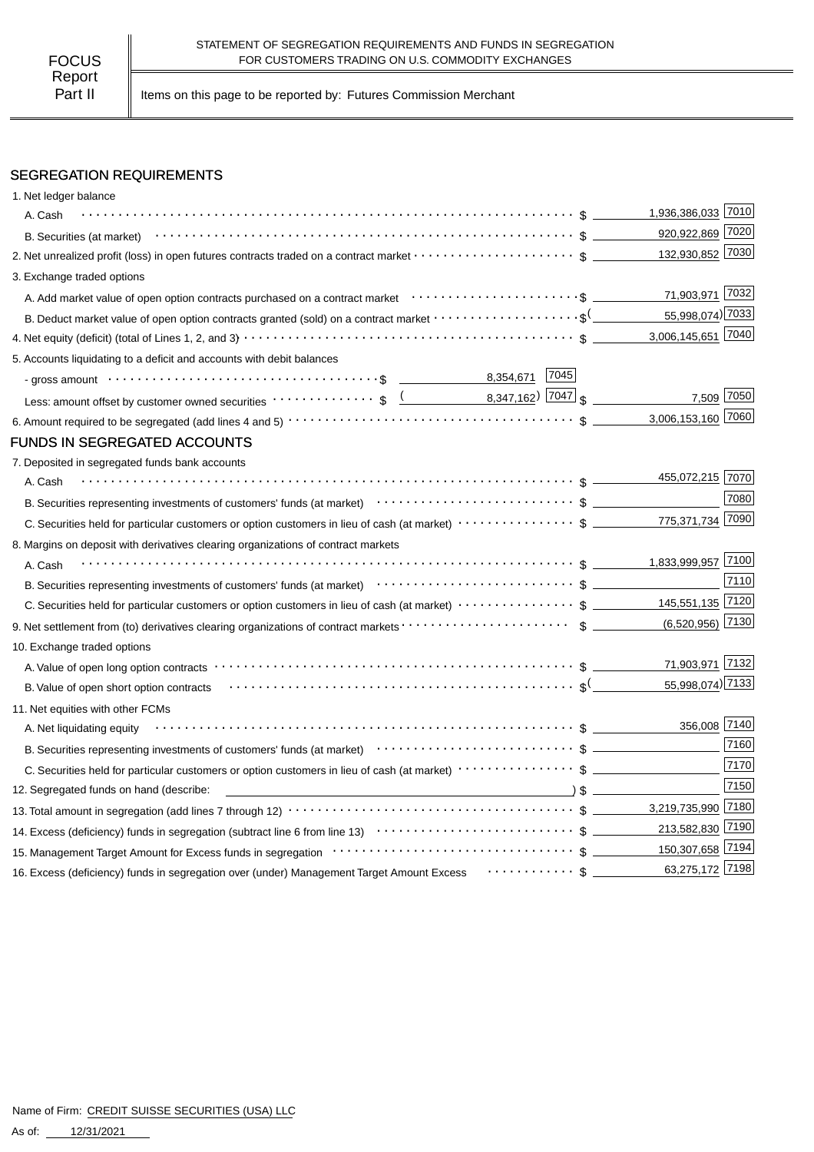Part II | Items on this page to be reported by: Futures Commission Merchant

#### SEGREGATION REQUIREMENTS

| 1. Net ledger balance                                                                                                                                                                                                              |                    |                    |
|------------------------------------------------------------------------------------------------------------------------------------------------------------------------------------------------------------------------------------|--------------------|--------------------|
| A. Cash                                                                                                                                                                                                                            | 1,936,386,033 7010 |                    |
|                                                                                                                                                                                                                                    | 920,922,869 7020   |                    |
| 2. Net unrealized profit (loss) in open futures contracts traded on a contract market $\cdots\cdots\cdots\cdots\cdots\cdots$ \$                                                                                                    | 132,930,852 7030   |                    |
| 3. Exchange traded options                                                                                                                                                                                                         |                    |                    |
| A. Add market value of open option contracts purchased on a contract market enter-inferent content of the content                                                                                                                  |                    | 71,903,971 7032    |
|                                                                                                                                                                                                                                    |                    | 55,998,074) 7033   |
|                                                                                                                                                                                                                                    | 3,006,145,651 7040 |                    |
| 5. Accounts liquidating to a deficit and accounts with debit balances                                                                                                                                                              |                    |                    |
| 8,354,671 7045                                                                                                                                                                                                                     |                    |                    |
|                                                                                                                                                                                                                                    |                    | 7,509 7050         |
|                                                                                                                                                                                                                                    | 3,006,153,160 7060 |                    |
| FUNDS IN SEGREGATED ACCOUNTS                                                                                                                                                                                                       |                    |                    |
| 7. Deposited in segregated funds bank accounts                                                                                                                                                                                     |                    |                    |
| A. Cash                                                                                                                                                                                                                            | 455,072,215 7070   |                    |
| B. Securities representing investments of customers' funds (at market)<br>$\cdots$ $\cdots$ $\cdots$ $\cdots$ $\cdots$ $\cdots$ $\cdots$ $\cdots$ $\cdots$ $\cdots$ $\cdots$ $\cdots$ $\cdots$                                     |                    | 7080               |
|                                                                                                                                                                                                                                    | 775,371,734 7090   |                    |
| 8. Margins on deposit with derivatives clearing organizations of contract markets                                                                                                                                                  |                    |                    |
| A. Cash                                                                                                                                                                                                                            | 1,833,999,957 7100 |                    |
| B. Securities representing investments of customers' funds (at market)<br>$\cdots$ $\cdots$ $\uparrow$ $\qquad \qquad$ $\qquad \qquad$                                                                                             |                    | 7110               |
| C. Securities held for particular customers or option customers in lieu of cash (at market) $\cdots \cdots \cdots \cdots$ \$ ___________145,551,135 7120                                                                           |                    |                    |
|                                                                                                                                                                                                                                    |                    | $(6,520,956)$ 7130 |
| 10. Exchange traded options                                                                                                                                                                                                        |                    |                    |
|                                                                                                                                                                                                                                    |                    | 71,903,971 7132    |
| B. Value of open short option contracts $\cdots \cdots \cdots \cdots \cdots \cdots \cdots \cdots \cdots \cdots \cdots \cdots \cdots$                                                                                               |                    | 55,998,074) 7133   |
| 11. Net equities with other FCMs                                                                                                                                                                                                   |                    |                    |
| A. Net liquidating equity                                                                                                                                                                                                          |                    | 356,008 7140       |
| B. Securities representing investments of customers' funds (at market)<br>The market $\frac{1}{2}$ and the content of securities of customers' funds (at market)<br>$\cdots$ $\frac{1}{2}$ and $\cdots$ $\frac{1}{2}$ and $\cdots$ |                    | 7160               |
|                                                                                                                                                                                                                                    |                    | 7170               |
| 12. Segregated funds on hand (describe:                                                                                                                                                                                            |                    | 7150               |
|                                                                                                                                                                                                                                    |                    |                    |
|                                                                                                                                                                                                                                    | 213,582,830 7190   |                    |
| 150,307,658 7194                                                                                                                                                                                                                   |                    |                    |
| 16. Excess (deficiency) funds in segregation over (under) Management Target Amount Excess Fig. Access (deficiency) funds in segregation over (under) Management Target Amount Excess                                               |                    | 63,275,172 7198    |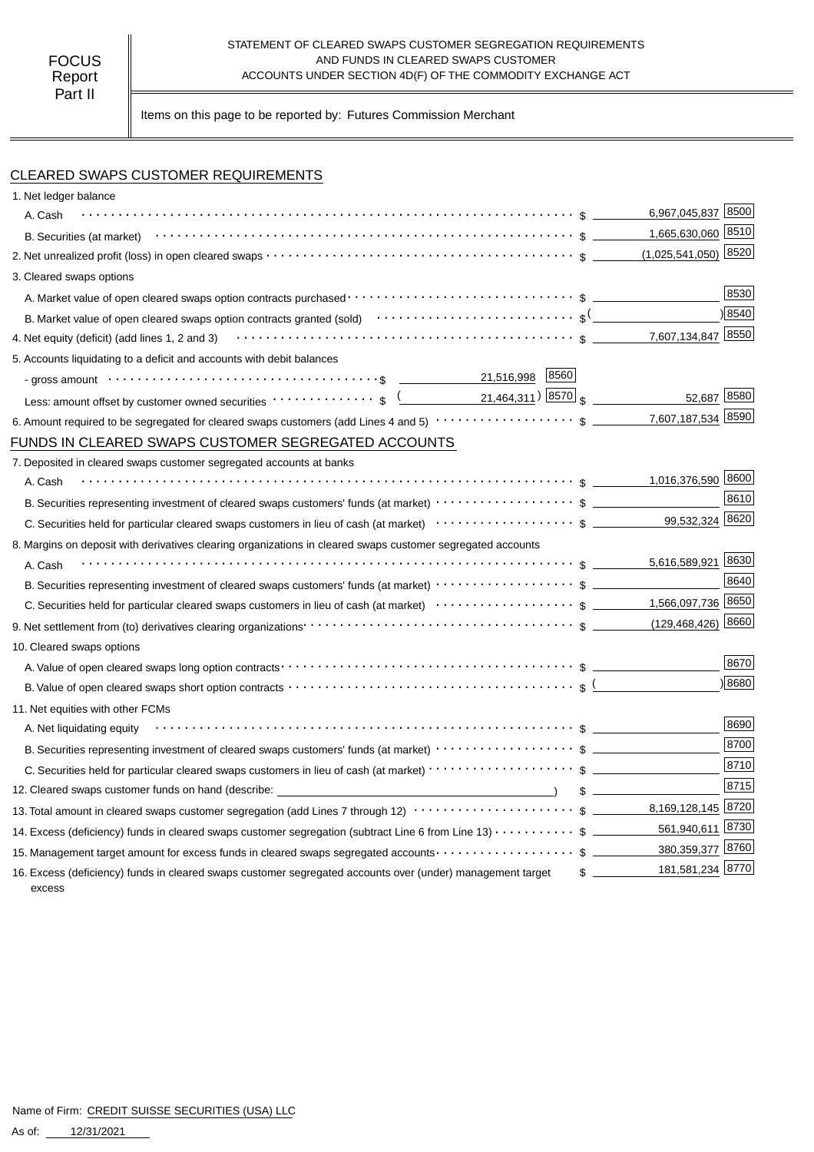#### STATEMENT OF CLEARED SWAPS CUSTOMER SEGREGATION REQUIREMENTS FOCUS TO CUS AND FUNDS IN CLEARED SWAPS CUSTOMER<br>Report **ACCOUNTS UNDER SECTION 4D(F)** OF THE COMMODITY EX ACCOUNTS UNDER SECTION 4D(F) OF THE COMMODITY EXCHANGE ACT

Items on this page to be reported by: Futures Commission Merchant

#### CLEARED SWAPS CUSTOMER REQUIREMENTS

| 1. Net ledger balance                                                                                                                                                                 |                                   |      |
|---------------------------------------------------------------------------------------------------------------------------------------------------------------------------------------|-----------------------------------|------|
| A. Cash                                                                                                                                                                               | 6,967,045,837 8500                |      |
| B. Securities (at market) $\cdots$ $\cdots$ $\cdots$ $\cdots$ $\cdots$ $\cdots$ $\cdots$ $\cdots$ $\cdots$ $\cdots$ $\cdots$ $\cdots$ $\cdots$ $\cdots$ $\cdots$ $\cdots$             | 1,665,630,060 8510                |      |
|                                                                                                                                                                                       | $(1,025,541,050)$ 8520            |      |
| 3. Cleared swaps options                                                                                                                                                              |                                   |      |
|                                                                                                                                                                                       |                                   | 8530 |
| B. Market value of open cleared swaps option contracts granted (sold) $\cdots \cdots \cdots \cdots \cdots \cdots \cdots$                                                              |                                   | 8540 |
| 4. Net equity (deficit) (add lines 1, 2 and 3) $\cdots$ $\cdots$ $\cdots$ $\cdots$ $\cdots$ $\cdots$ $\cdots$ $\cdots$ $\cdots$ $\cdots$ $\cdots$ $\cdots$ $\cdots$ $\cdots$ $\cdots$ | 7,607,134,847 8550                |      |
| 5. Accounts liquidating to a deficit and accounts with debit balances                                                                                                                 |                                   |      |
| 8560<br>21,516,998                                                                                                                                                                    |                                   |      |
| Less: amount offset by customer owned securities $\cdots \cdots \cdots$ ; $\frac{(21,464,311)}{21,464,311)}$                                                                          | 52,687 8580                       |      |
|                                                                                                                                                                                       | 7,607,187,534                     | 8590 |
| FUNDS IN CLEARED SWAPS CUSTOMER SEGREGATED ACCOUNTS                                                                                                                                   |                                   |      |
| 7. Deposited in cleared swaps customer segregated accounts at banks                                                                                                                   |                                   |      |
| A. Cash                                                                                                                                                                               | 1,016,376,590 8600                |      |
|                                                                                                                                                                                       |                                   | 8610 |
| C. Securities held for particular cleared swaps customers in lieu of cash (at market) $\cdots\cdots\cdots\cdots\cdots\cdots$ \$                                                       | 99,532,324 8620                   |      |
| 8. Margins on deposit with derivatives clearing organizations in cleared swaps customer segregated accounts                                                                           |                                   |      |
| A. Cash                                                                                                                                                                               |                                   |      |
|                                                                                                                                                                                       |                                   | 8640 |
|                                                                                                                                                                                       |                                   |      |
|                                                                                                                                                                                       |                                   |      |
| 10. Cleared swaps options                                                                                                                                                             |                                   |      |
|                                                                                                                                                                                       |                                   | 8670 |
|                                                                                                                                                                                       |                                   | 8680 |
| 11. Net equities with other FCMs                                                                                                                                                      |                                   |      |
| A. Net liquidating equity                                                                                                                                                             |                                   | 8690 |
|                                                                                                                                                                                       |                                   | 8700 |
|                                                                                                                                                                                       |                                   | 8710 |
| 12. Cleared swaps customer funds on hand (describe: which is a state of the state of the state of the state of                                                                        | $\sim$                            | 8715 |
| 13. Total amount in cleared swaps customer segregation (add Lines 7 through 12) $\cdots\cdots\cdots\cdots\cdots\cdots\cdots$ \$ ________8,169,128,145 8720                            |                                   |      |
| 14. Excess (deficiency) funds in cleared swaps customer segregation (subtract Line 6 from Line 13) $\cdots\cdots\cdots$ \$                                                            | 561,940,611 8730                  |      |
| 15. Management target amount for excess funds in cleared swaps segregated accounts $\cdots\cdots\cdots\cdots\cdots\$                                                                  | 380,359,377 8760                  |      |
| 16. Excess (deficiency) funds in cleared swaps customer segregated accounts over (under) management target<br>excess                                                                  | 181,581,234 8770<br>$\frac{1}{2}$ |      |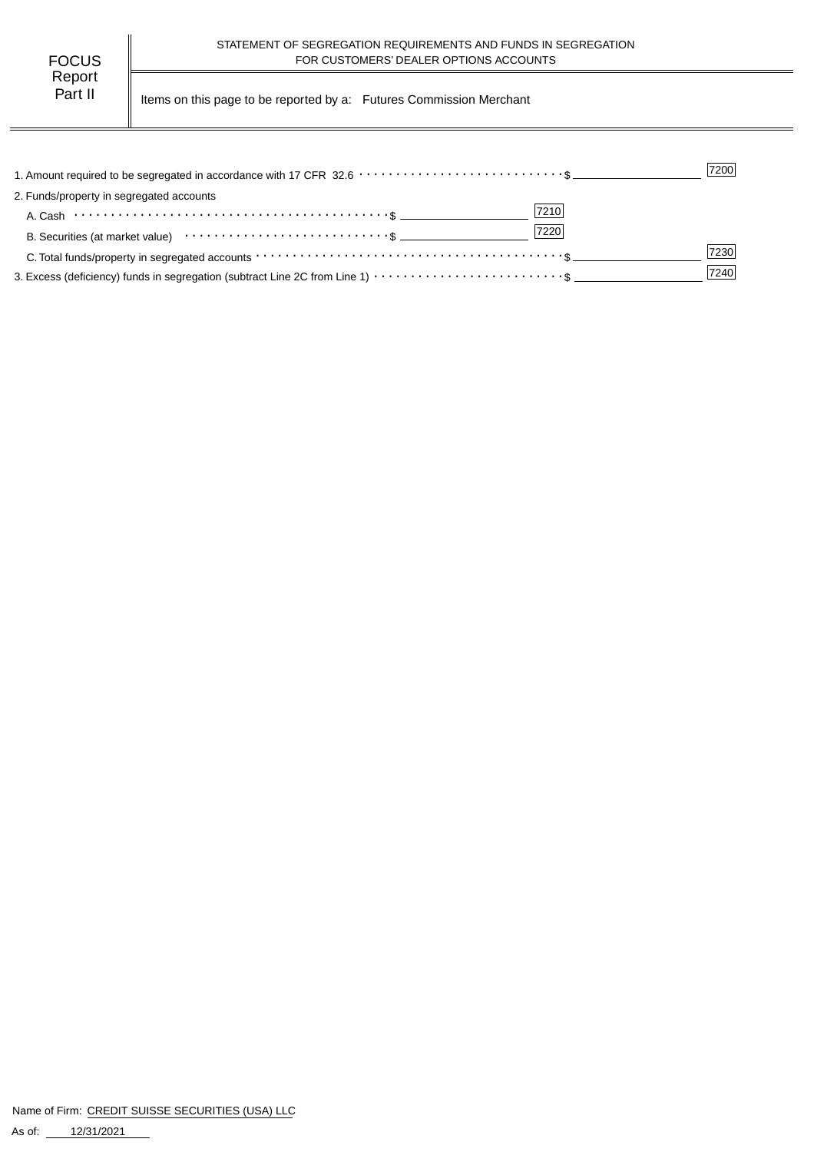| FOCUS   |  |
|---------|--|
| Report  |  |
| Part II |  |

Items on this page to be reported by a: Futures Commission Merchant

|                                                                                                                                                                 | 7200 |
|-----------------------------------------------------------------------------------------------------------------------------------------------------------------|------|
| 2. Funds/property in segregated accounts                                                                                                                        |      |
| 7210<br>A. Cash $\cdots$ $\cdots$ $\cdots$ $\cdots$ $\cdots$ $\cdots$ $\cdots$ $\cdots$ $\cdots$ $\cdots$ $\cdots$ $\cdots$ $\cdots$ $\cdots$ $\cdots$ $\cdots$ |      |
| 7220                                                                                                                                                            |      |
|                                                                                                                                                                 | 7230 |
|                                                                                                                                                                 | 7240 |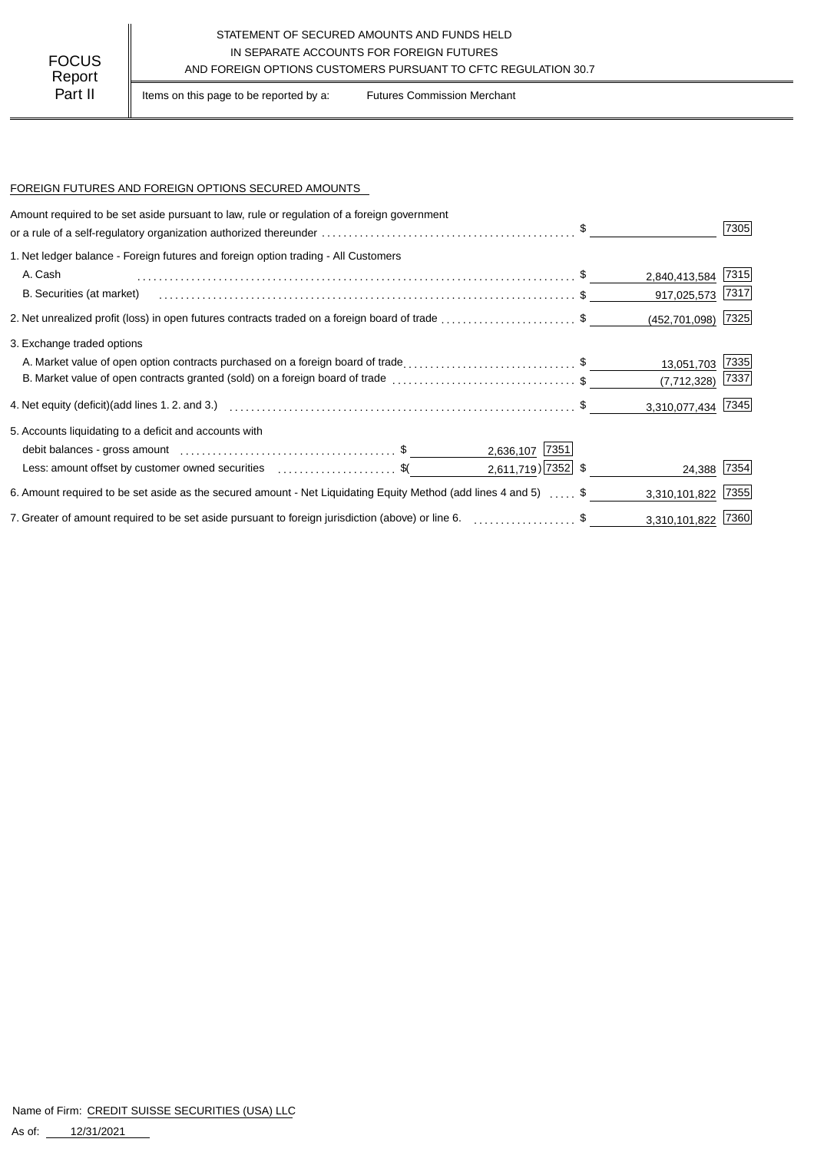## STATEMENT OF SECURED AMOUNTS AND FUNDS HELD IN SEPARATE ACCOUNTS FOR FOREIGN FUTURES<br>
Report AND FOREIGN OPTIONS CUSTOMERS PURSUANT TO CFTC REGULATION 30.7

Part II | Items on this page to be reported by a: Futures Commission Merchant

#### FOREIGN FUTURES AND FOREIGN OPTIONS SECURED AMOUNTS

| Amount required to be set aside pursuant to law, rule or regulation of a foreign government                      |                        |      |
|------------------------------------------------------------------------------------------------------------------|------------------------|------|
|                                                                                                                  |                        | 7305 |
| 1. Net ledger balance - Foreign futures and foreign option trading - All Customers                               |                        |      |
| A. Cash                                                                                                          | 2,840,413,584 7315     |      |
| B. Securities (at market)                                                                                        | 917,025,573 7317       |      |
| 2. Net unrealized profit (loss) in open futures contracts traded on a foreign board of trade \$                  | $(452, 701, 098)$ 7325 |      |
| 3. Exchange traded options                                                                                       |                        |      |
| A. Market value of open option contracts purchased on a foreign board of trade\$                                 | 13,051,703             | 7335 |
| B. Market value of open contracts granted (sold) on a foreign board of trade \$                                  | $(7,712,328)$ 7337     |      |
|                                                                                                                  | 3,310,077,434 7345     |      |
| 5. Accounts liquidating to a deficit and accounts with                                                           |                        |      |
| 2,636,107 7351                                                                                                   |                        |      |
| $2,611,719$ 7352 \$<br>Less: amount offset by customer owned securities \$                                       | 24,388 7354            |      |
| 6. Amount required to be set aside as the secured amount - Net Liquidating Equity Method (add lines 4 and 5)  \$ | 3,310,101,822          | 7355 |
| 7. Greater of amount required to be set aside pursuant to foreign jurisdiction (above) or line 6. \$             | 3,310,101,822 7360     |      |